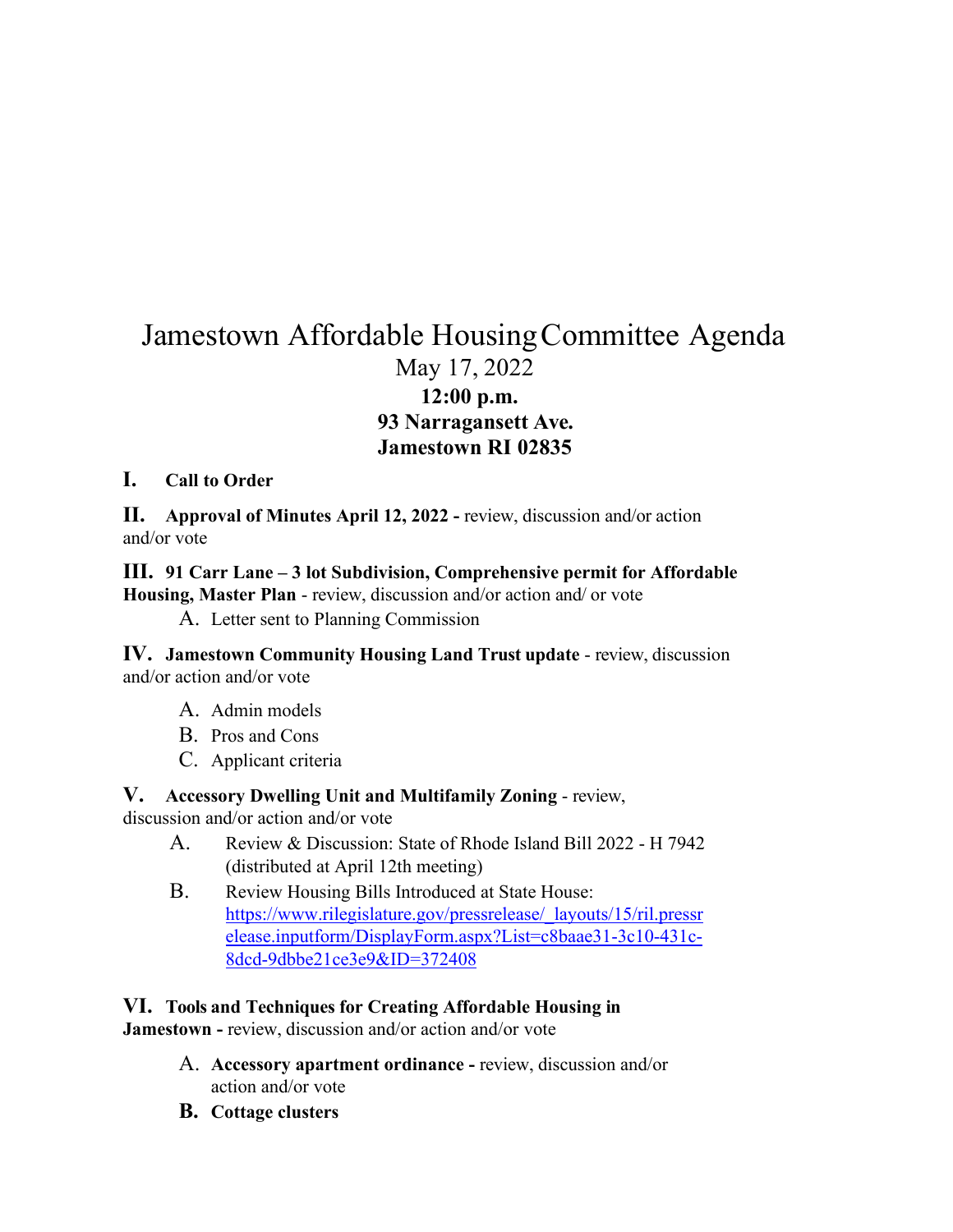# Jamestown Affordable HousingCommittee Agenda May 17, 2022 **12:00 p.m. 93 Narragansett Ave. Jamestown RI 02835**

### **I. Call to Order**

**II. Approval of Minutes April 12, 2022 -** review, discussion and/or action and/or vote

## **III. 91 Carr Lane – 3 lot Subdivision, Comprehensive permit for Affordable Housing, Master Plan** - review, discussion and/or action and/ or vote

A. Letter sent to Planning Commission

**IV. Jamestown Community Housing Land Trust update** - review, discussion and/or action and/or vote

- A. Admin models
- B. Pros and Cons
- C. Applicant criteria

# **V. Accessory Dwelling Unit and Multifamily Zoning** - review,

discussion and/or action and/or vote

- A. Review & Discussion: State of Rhode Island Bill 2022 H 7942 (distributed at April 12th meeting)
- B. Review Housing Bills Introduced at State House: [https://www.rilegislature.gov/pressrelease/\\_layouts/15/ril.pressr](https://www.rilegislature.gov/pressrelease/_layouts/15/ril.pressrelease.inputform/DisplayForm.aspx?List=c8baae31-3c10-431c-8dcd-9dbbe21ce3e9&ID=372408) [elease.inputform/DisplayForm.aspx?List=c8baae31-3c10-431c-](https://www.rilegislature.gov/pressrelease/_layouts/15/ril.pressrelease.inputform/DisplayForm.aspx?List=c8baae31-3c10-431c-8dcd-9dbbe21ce3e9&ID=372408)[8dcd-9dbbe21ce3e9&ID=372408](https://www.rilegislature.gov/pressrelease/_layouts/15/ril.pressrelease.inputform/DisplayForm.aspx?List=c8baae31-3c10-431c-8dcd-9dbbe21ce3e9&ID=372408)

## **VI. Tools and Techniques for Creating Affordable Housing in**

**Jamestown -** review, discussion and/or action and/or vote

- A. **Accessory apartment ordinance -** review, discussion and/or action and/or vote
- **B. Cottage clusters**